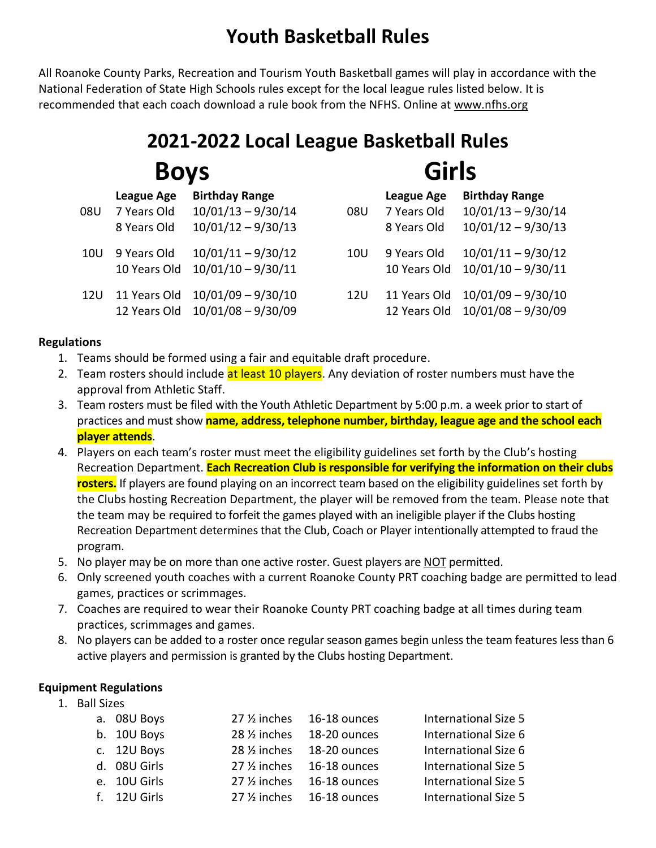## **Youth Basketball Rules**

All Roanoke County Parks, Recreation and Tourism Youth Basketball games will play in accordance with the National Federation of State High Schools rules except for the local league rules listed below. It is recommended that each coach download a rule book from the NFHS. Online at www.nfhs.org

# **2021-2022 Local League Basketball Rules Boys Girls**

|                 | <b>League Age</b> | <b>Birthday Range</b> |            | League Age   | <b>Birthday Range</b> |
|-----------------|-------------------|-----------------------|------------|--------------|-----------------------|
| 08U             | 7 Years Old       | $10/01/13 - 9/30/14$  | 08U        | 7 Years Old  | $10/01/13 - 9/30/14$  |
|                 | 8 Years Old       | $10/01/12 - 9/30/13$  |            | 8 Years Old  | $10/01/12 - 9/30/13$  |
| 10U             | 9 Years Old       | $10/01/11 - 9/30/12$  | 10U        | 9 Years Old  | $10/01/11 - 9/30/12$  |
|                 | 10 Years Old      | $10/01/10 - 9/30/11$  |            | 10 Years Old | $10/01/10 - 9/30/11$  |
| 12 <sub>U</sub> | 11 Years Old      | $10/01/09 - 9/30/10$  | <b>12U</b> | 11 Years Old | $10/01/09 - 9/30/10$  |
|                 | 12 Years Old      | $10/01/08 - 9/30/09$  |            | 12 Years Old | $10/01/08 - 9/30/09$  |

#### **Regulations**

- 1. Teams should be formed using a fair and equitable draft procedure.
- 2. Team rosters should include at least 10 players. Any deviation of roster numbers must have the approval from Athletic Staff.
- 3. Team rosters must be filed with the Youth Athletic Department by 5:00 p.m. a week prior to start of practices and must show **name, address, telephone number, birthday, league age and the school each player attends**.
- 4. Players on each team's roster must meet the eligibility guidelines set forth by the Club's hosting Recreation Department. **Each Recreation Club is responsible for verifying the information on their clubs rosters.** If players are found playing on an incorrect team based on the eligibility guidelines set forth by the Clubs hosting Recreation Department, the player will be removed from the team. Please note that the team may be required to forfeit the games played with an ineligible player if the Clubs hosting Recreation Department determines that the Club, Coach or Player intentionally attempted to fraud the program.
- 5. No player may be on more than one active roster. Guest players are NOT permitted.
- 6. Only screened youth coaches with a current Roanoke County PRT coaching badge are permitted to lead games, practices or scrimmages.
- 7. Coaches are required to wear their Roanoke County PRT coaching badge at all times during team practices, scrimmages and games.
- 8. No players can be added to a roster once regular season games begin unless the team features less than 6 active players and permission is granted by the Clubs hosting Department.

#### **Equipment Regulations**

1. Ball Sizes

| a. 08U Boys  | 27 1/2 inches 16-18 ounces | <b>International Size 5</b> |
|--------------|----------------------------|-----------------------------|
| b. 10U Boys  | 28 1/2 inches 18-20 ounces | International Size 6        |
| c. 12U Boys  | 28 1/2 inches 18-20 ounces | International Size 6        |
| d. 08U Girls | 27 1/2 inches 16-18 ounces | <b>International Size 5</b> |
| e. 10U Girls | 27 1/2 inches 16-18 ounces | <b>International Size 5</b> |
| f. 12U Girls | 27 % inches 16-18 ounces   | <b>International Size 5</b> |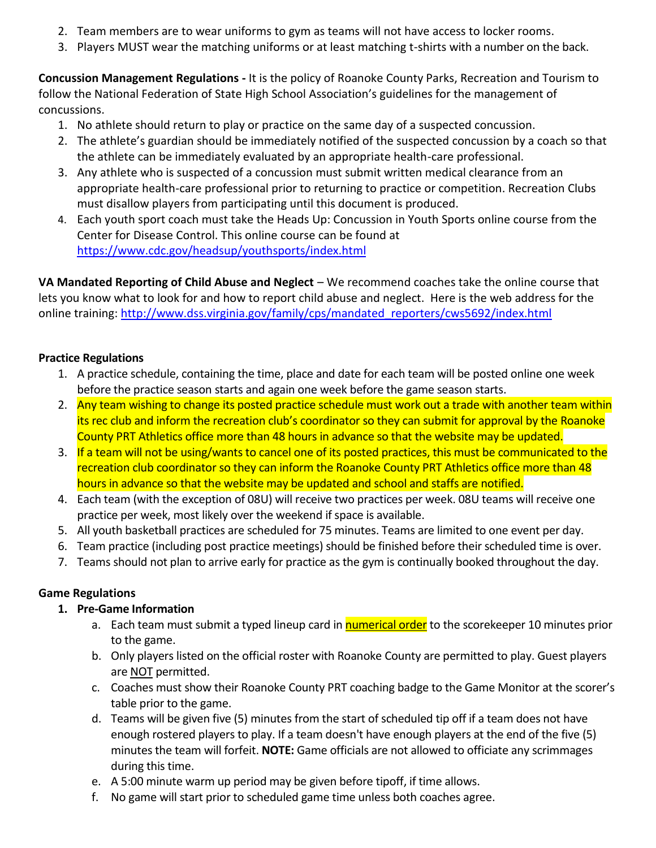- 2. Team members are to wear uniforms to gym as teams will not have access to locker rooms.
- 3. Players MUST wear the matching uniforms or at least matching t-shirts with a number on the back.

**Concussion Management Regulations -** It is the policy of Roanoke County Parks, Recreation and Tourism to follow the National Federation of State High School Association's guidelines for the management of concussions.

- 1. No athlete should return to play or practice on the same day of a suspected concussion.
- 2. The athlete's guardian should be immediately notified of the suspected concussion by a coach so that the athlete can be immediately evaluated by an appropriate health-care professional.
- 3. Any athlete who is suspected of a concussion must submit written medical clearance from an appropriate health-care professional prior to returning to practice or competition. Recreation Clubs must disallow players from participating until this document is produced.
- 4. Each youth sport coach must take the Heads Up: Concussion in Youth Sports online course from the Center for Disease Control. This online course can be found at <https://www.cdc.gov/headsup/youthsports/index.html>

**VA Mandated Reporting of Child Abuse and Neglect** – We recommend coaches take the online course that lets you know what to look for and how to report child abuse and neglect. Here is the web address for the online training: [http://www.dss.virginia.gov/family/cps/mandated\\_reporters/cws5692/index.html](http://www.dss.virginia.gov/family/cps/mandated_reporters/cws5692/index.html)

#### **Practice Regulations**

- 1. A practice schedule, containing the time, place and date for each team will be posted online one week before the practice season starts and again one week before the game season starts.
- 2. Any team wishing to change its posted practice schedule must work out a trade with another team within its rec club and inform the recreation club's coordinator so they can submit for approval by the Roanoke County PRT Athletics office more than 48 hours in advance so that the website may be updated.
- 3. If a team will not be using/wants to cancel one of its posted practices, this must be communicated to the recreation club coordinator so they can inform the Roanoke County PRT Athletics office more than 48 hours in advance so that the website may be updated and school and staffs are notified.
- 4. Each team (with the exception of 08U) will receive two practices per week. 08U teams will receive one practice per week, most likely over the weekend if space is available.
- 5. All youth basketball practices are scheduled for 75 minutes. Teams are limited to one event per day.
- 6. Team practice (including post practice meetings) should be finished before their scheduled time is over.
- 7. Teams should not plan to arrive early for practice as the gym is continually booked throughout the day.

#### **Game Regulations**

#### **1. Pre-Game Information**

- a. Each team must submit a typed lineup card in **numerical order** to the scorekeeper 10 minutes prior to the game.
- b. Only players listed on the official roster with Roanoke County are permitted to play. Guest players are NOT permitted.
- c. Coaches must show their Roanoke County PRT coaching badge to the Game Monitor at the scorer's table prior to the game.
- d. Teams will be given five (5) minutes from the start of scheduled tip off if a team does not have enough rostered players to play. If a team doesn't have enough players at the end of the five (5) minutes the team will forfeit. **NOTE:** Game officials are not allowed to officiate any scrimmages during this time.
- e. A 5:00 minute warm up period may be given before tipoff, if time allows.
- f. No game will start prior to scheduled game time unless both coaches agree.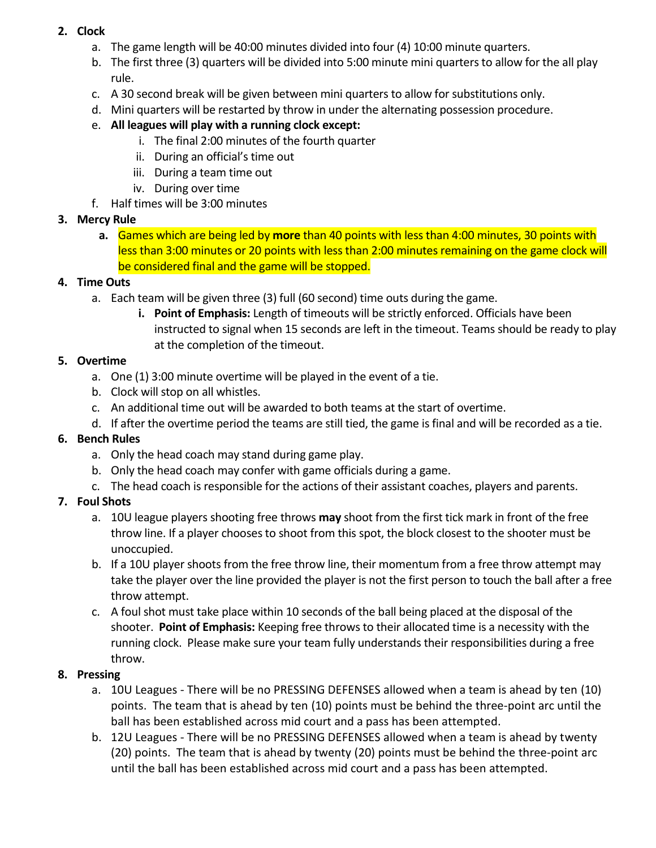#### **2. Clock**

- a. The game length will be 40:00 minutes divided into four (4) 10:00 minute quarters.
- b. The first three (3) quarters will be divided into 5:00 minute mini quarters to allow for the all play rule.
- c. A 30 second break will be given between mini quarters to allow for substitutions only.
- d. Mini quarters will be restarted by throw in under the alternating possession procedure.

#### e. **All leagues will play with a running clock except:**

- i. The final 2:00 minutes of the fourth quarter
- ii. During an official's time out
- iii. During a team time out
- iv. During over time
- f. Half times will be 3:00 minutes

#### **3. Mercy Rule**

**a.** Games which are being led by **more** than 40 points with less than 4:00 minutes, 30 points with less than 3:00 minutes or 20 points with less than 2:00 minutes remaining on the game clock will be considered final and the game will be stopped.

#### **4. Time Outs**

- a. Each team will be given three (3) full (60 second) time outs during the game.
	- **i. Point of Emphasis:** Length of timeouts will be strictly enforced. Officials have been instructed to signal when 15 seconds are left in the timeout. Teams should be ready to play at the completion of the timeout.

#### **5. Overtime**

- a. One (1) 3:00 minute overtime will be played in the event of a tie.
- b. Clock will stop on all whistles.
- c. An additional time out will be awarded to both teams at the start of overtime.
- d. If after the overtime period the teams are still tied, the game is final and will be recorded as a tie.

### **6. Bench Rules**

- a. Only the head coach may stand during game play.
- b. Only the head coach may confer with game officials during a game.
- c. The head coach is responsible for the actions of their assistant coaches, players and parents.

### **7. Foul Shots**

- a. 10U league players shooting free throws **may** shoot from the first tick mark in front of the free throw line. If a player chooses to shoot from this spot, the block closest to the shooter must be unoccupied.
- b. If a 10U player shoots from the free throw line, their momentum from a free throw attempt may take the player over the line provided the player is not the first person to touch the ball after a free throw attempt.
- c. A foul shot must take place within 10 seconds of the ball being placed at the disposal of the shooter. **Point of Emphasis:** Keeping free throws to their allocated time is a necessity with the running clock. Please make sure your team fully understands their responsibilities during a free throw.

### **8. Pressing**

- a. 10U Leagues There will be no PRESSING DEFENSES allowed when a team is ahead by ten (10) points. The team that is ahead by ten (10) points must be behind the three-point arc until the ball has been established across mid court and a pass has been attempted.
- b. 12U Leagues There will be no PRESSING DEFENSES allowed when a team is ahead by twenty (20) points. The team that is ahead by twenty (20) points must be behind the three-point arc until the ball has been established across mid court and a pass has been attempted.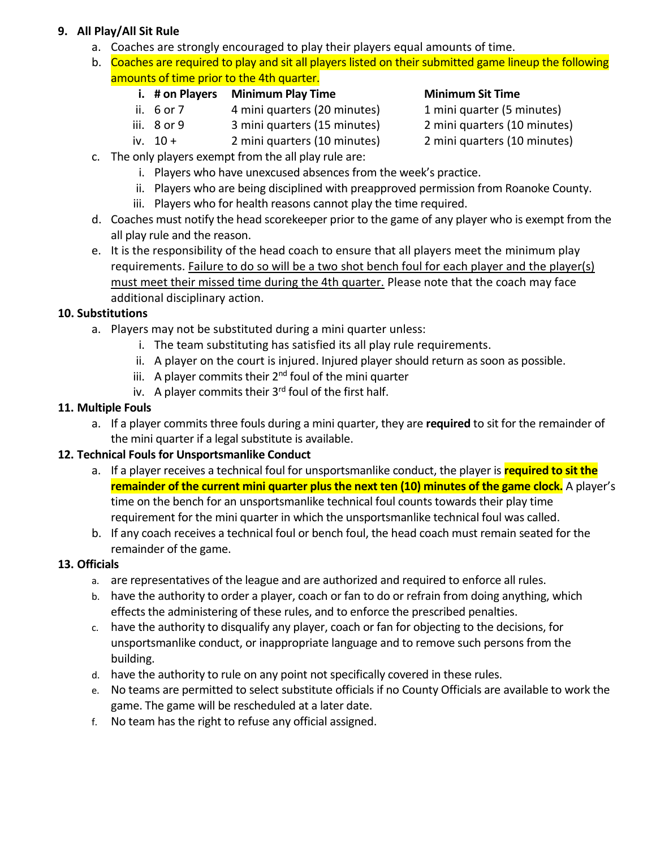#### **9. All Play/All Sit Rule**

- a. Coaches are strongly encouraged to play their players equal amounts of time.
- b. Coaches are required to play and sit all players listed on their submitted game lineup the following amounts of time prior to the 4th quarter.

#### **i. # on Players Minimum Play Time Minimum Sit Time**

- ii. 6 or 7 4 mini quarters (20 minutes) 1 mini quarter (5 minutes)
- iii. 8 or 9 3 mini quarters (15 minutes) 2 mini quarters (10 minutes)
- iv.  $10 + 2$  mini quarters (10 minutes) 2 mini quarters (10 minutes)

- 
- 
- 
- c. The only players exempt from the all play rule are:
	- i. Players who have unexcused absences from the week's practice.
	- ii. Players who are being disciplined with preapproved permission from Roanoke County.
	- iii. Players who for health reasons cannot play the time required.
- d. Coaches must notify the head scorekeeper prior to the game of any player who is exempt from the all play rule and the reason.
- e. It is the responsibility of the head coach to ensure that all players meet the minimum play requirements. Failure to do so will be a two shot bench foul for each player and the player(s) must meet their missed time during the 4th quarter. Please note that the coach may face additional disciplinary action.

#### **10. Substitutions**

- a. Players may not be substituted during a mini quarter unless:
	- i. The team substituting has satisfied its all play rule requirements.
	- ii. A player on the court is injured. Injured player should return as soon as possible.
	- iii. A player commits their 2<sup>nd</sup> foul of the mini quarter
	- iv. A player commits their  $3<sup>rd</sup>$  foul of the first half.

#### **11. Multiple Fouls**

a. If a player commits three fouls during a mini quarter, they are **required** to sit for the remainder of the mini quarter if a legal substitute is available.

#### **12. Technical Fouls for Unsportsmanlike Conduct**

- a. If a player receives a technical foul for unsportsmanlike conduct, the player is **required to sit the remainder of the current mini quarter plus the next ten (10) minutes of the game clock.** A player's time on the bench for an unsportsmanlike technical foul counts towards their play time requirement for the mini quarter in which the unsportsmanlike technical foul was called.
- b. If any coach receives a technical foul or bench foul, the head coach must remain seated for the remainder of the game.

#### **13. Officials**

- a. are representatives of the league and are authorized and required to enforce all rules.
- b. have the authority to order a player, coach or fan to do or refrain from doing anything, which effects the administering of these rules, and to enforce the prescribed penalties.
- c. have the authority to disqualify any player, coach or fan for objecting to the decisions, for unsportsmanlike conduct, or inappropriate language and to remove such persons from the building.
- d. have the authority to rule on any point not specifically covered in these rules.
- e. No teams are permitted to select substitute officials if no County Officials are available to work the game. The game will be rescheduled at a later date.
- f. No team has the right to refuse any official assigned.
- 
-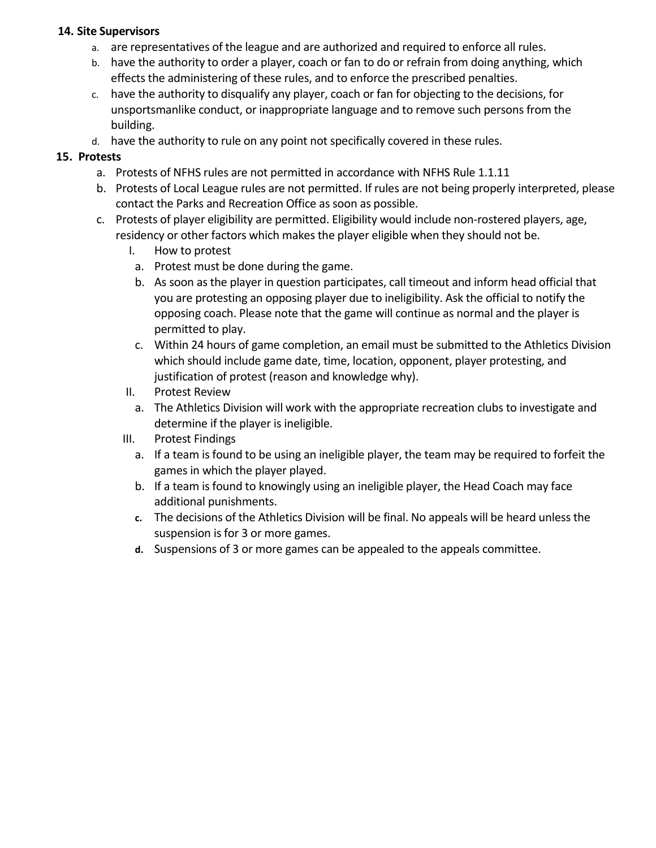#### **14. Site Supervisors**

- a. are representatives of the league and are authorized and required to enforce all rules.
- b. have the authority to order a player, coach or fan to do or refrain from doing anything, which effects the administering of these rules, and to enforce the prescribed penalties.
- c. have the authority to disqualify any player, coach or fan for objecting to the decisions, for unsportsmanlike conduct, or inappropriate language and to remove such persons from the building.
- d. have the authority to rule on any point not specifically covered in these rules.

#### **15. Protests**

- a. Protests of NFHS rules are not permitted in accordance with NFHS Rule 1.1.11
- b. Protests of Local League rules are not permitted. If rules are not being properly interpreted, please contact the Parks and Recreation Office as soon as possible.
- c. Protests of player eligibility are permitted. Eligibility would include non-rostered players, age, residency or other factors which makes the player eligible when they should not be.
	- I. How to protest
		- a. Protest must be done during the game.
		- b. As soon as the player in question participates, call timeout and inform head official that you are protesting an opposing player due to ineligibility. Ask the official to notify the opposing coach. Please note that the game will continue as normal and the player is permitted to play.
	- c. Within 24 hours of game completion, an email must be submitted to the Athletics Division which should include game date, time, location, opponent, player protesting, and justification of protest (reason and knowledge why).
	- II. Protest Review
		- a. The Athletics Division will work with the appropriate recreation clubs to investigate and determine if the player is ineligible.
	- III. Protest Findings
		- a. If a team is found to be using an ineligible player, the team may be required to forfeit the games in which the player played.
		- b. If a team is found to knowingly using an ineligible player, the Head Coach may face additional punishments.
		- **c.** The decisions of the Athletics Division will be final. No appeals will be heard unless the suspension is for 3 or more games.
		- **d.** Suspensions of 3 or more games can be appealed to the appeals committee.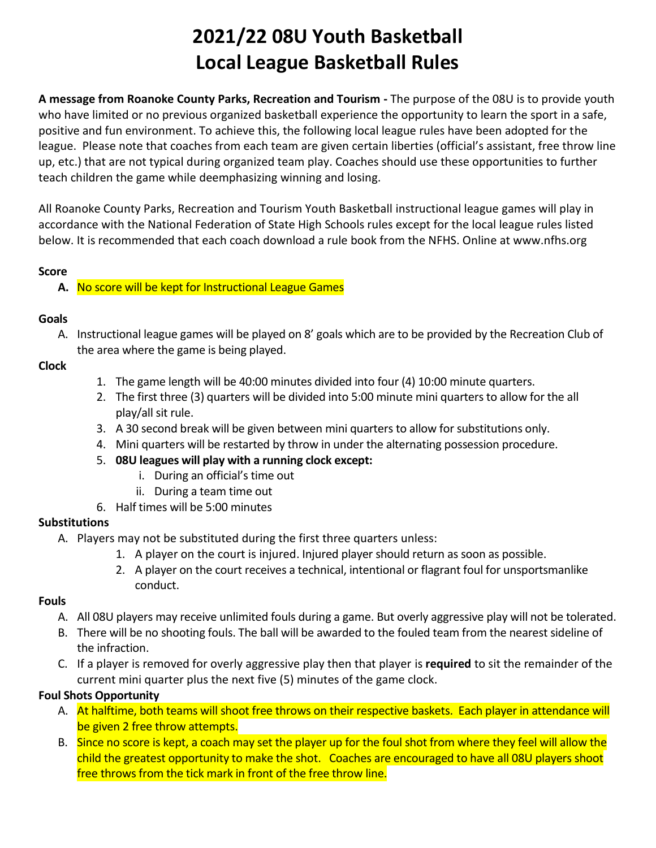# **2021/22 08U Youth Basketball Local League Basketball Rules**

**A message from Roanoke County Parks, Recreation and Tourism -** The purpose of the 08U is to provide youth who have limited or no previous organized basketball experience the opportunity to learn the sport in a safe, positive and fun environment. To achieve this, the following local league rules have been adopted for the league. Please note that coaches from each team are given certain liberties (official's assistant, free throw line up, etc.) that are not typical during organized team play. Coaches should use these opportunities to further teach children the game while deemphasizing winning and losing.

All Roanoke County Parks, Recreation and Tourism Youth Basketball instructional league games will play in accordance with the National Federation of State High Schools rules except for the local league rules listed below. It is recommended that each coach download a rule book from the NFHS. Online at www.nfhs.org

#### **Score**

#### **A.** No score will be kept for Instructional League Games

#### **Goals**

A. Instructional league games will be played on 8' goals which are to be provided by the Recreation Club of the area where the game is being played.

#### **Clock**

- 1. The game length will be 40:00 minutes divided into four (4) 10:00 minute quarters.
- 2. The first three (3) quarters will be divided into 5:00 minute mini quarters to allow for the all play/all sit rule.
- 3. A 30 second break will be given between mini quarters to allow for substitutions only.
- 4. Mini quarters will be restarted by throw in under the alternating possession procedure.
- 5. **08U leagues will play with a running clock except:**
	- i. During an official's time out
	- ii. During a team time out
- 6. Half times will be 5:00 minutes

#### **Substitutions**

- A. Players may not be substituted during the first three quarters unless:
	- 1. A player on the court is injured. Injured player should return as soon as possible.
	- 2. A player on the court receives a technical, intentional or flagrant foul for unsportsmanlike conduct.

#### **Fouls**

- A. All 08U players may receive unlimited fouls during a game. But overly aggressive play will not be tolerated.
- B. There will be no shooting fouls. The ball will be awarded to the fouled team from the nearest sideline of the infraction.
- C. If a player is removed for overly aggressive play then that player is **required** to sit the remainder of the current mini quarter plus the next five (5) minutes of the game clock.

#### **Foul Shots Opportunity**

- A. At halftime, both teams will shoot free throws on their respective baskets. Each player in attendance will be given 2 free throw attempts.
- B. Since no score is kept, a coach may set the player up for the foul shot from where they feel will allow the child the greatest opportunity to make the shot. Coaches are encouraged to have all 08U players shoot free throws from the tick mark in front of the free throw line.